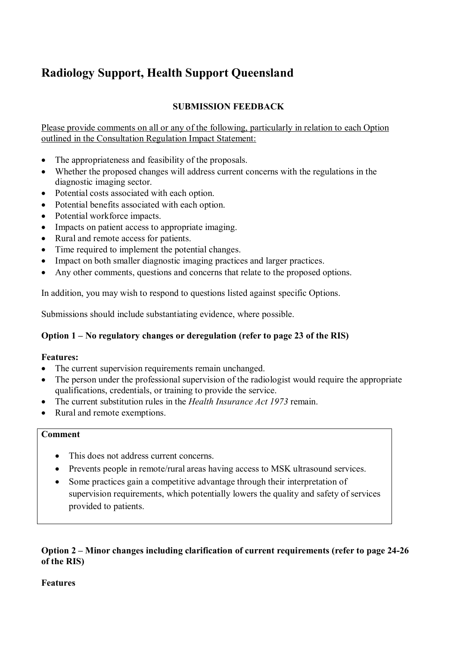# **Radiology Support, Health Support Queensland**

# **SUBMISSION FEEDBACK**

Please provide comments on all or any of the following, particularly in relation to each Option outlined in the Consultation Regulation Impact Statement:

- The appropriateness and feasibility of the proposals.
- Whether the proposed changes will address current concerns with the regulations in the diagnostic imaging sector.
- Potential costs associated with each option.
- Potential benefits associated with each option.
- Potential workforce impacts.
- Impacts on patient access to appropriate imaging.
- Rural and remote access for patients.
- Time required to implement the potential changes.
- Impact on both smaller diagnostic imaging practices and larger practices.
- Any other comments, questions and concerns that relate to the proposed options.

In addition, you may wish to respond to questions listed against specific Options.

Submissions should include substantiating evidence, where possible.

# **Option 1 – No regulatory changes or deregulation (refer to page 23 of the RIS)**

# **Features:**

- The current supervision requirements remain unchanged.
- The person under the professional supervision of the radiologist would require the appropriate qualifications, credentials, or training to provide the service.
- The current substitution rules in the *Health Insurance Act 1973* remain.
- Rural and remote exemptions.

# **Comment**

- This does not address current concerns.
- Prevents people in remote/rural areas having access to MSK ultrasound services.
- Some practices gain a competitive advantage through their interpretation of supervision requirements, which potentially lowers the quality and safety of services provided to patients.

# **Option 2 – Minor changes including clarification of current requirements (refer to page 24-26 of the RIS)**

# **Features**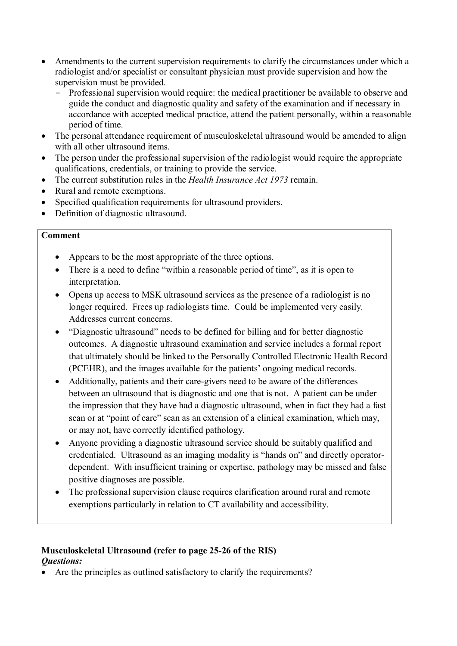- Amendments to the current supervision requirements to clarify the circumstances under which a radiologist and/or specialist or consultant physician must provide supervision and how the supervision must be provided.
	- Professional supervision would require: the medical practitioner be available to observe and guide the conduct and diagnostic quality and safety of the examination and if necessary in accordance with accepted medical practice, attend the patient personally, within a reasonable period of time.
- The personal attendance requirement of musculoskeletal ultrasound would be amended to align with all other ultrasound items.
- The person under the professional supervision of the radiologist would require the appropriate qualifications, credentials, or training to provide the service.
- The current substitution rules in the *Health Insurance Act 1973* remain.
- Rural and remote exemptions.
- Specified qualification requirements for ultrasound providers.
- Definition of diagnostic ultrasound.

#### **Comment**

- Appears to be the most appropriate of the three options.
- There is a need to define "within a reasonable period of time", as it is open to interpretation.
- Opens up access to MSK ultrasound services as the presence of a radiologist is no longer required. Frees up radiologists time. Could be implemented very easily. Addresses current concerns.
- "Diagnostic ultrasound" needs to be defined for billing and for better diagnostic outcomes. A diagnostic ultrasound examination and service includes a formal report that ultimately should be linked to the Personally Controlled Electronic Health Record (PCEHR), and the images available for the patients' ongoing medical records.
- Additionally, patients and their care-givers need to be aware of the differences between an ultrasound that is diagnostic and one that is not. A patient can be under the impression that they have had a diagnostic ultrasound, when in fact they had a fast scan or at "point of care" scan as an extension of a clinical examination, which may, or may not, have correctly identified pathology.
- Anyone providing a diagnostic ultrasound service should be suitably qualified and credentialed. Ultrasound as an imaging modality is "hands on" and directly operatordependent. With insufficient training or expertise, pathology may be missed and false positive diagnoses are possible.
- The professional supervision clause requires clarification around rural and remote exemptions particularly in relation to CT availability and accessibility.

# **Musculoskeletal Ultrasound (refer to page 25-26 of the RIS)**  *Questions:*

Are the principles as outlined satisfactory to clarify the requirements?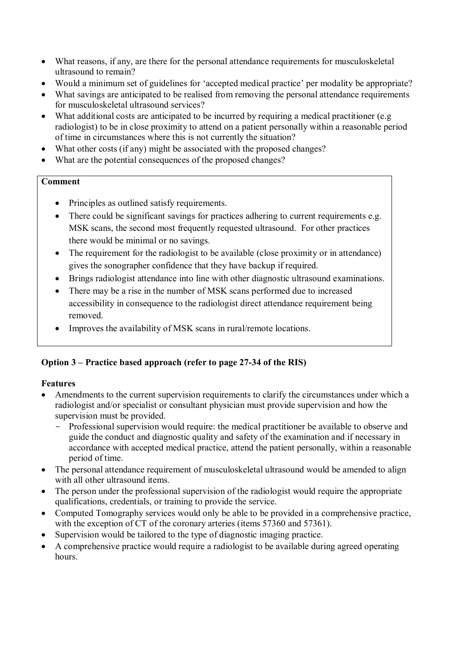- What reasons, if any, are there for the personal attendance requirements for musculoskeletal ultrasound to remain?
- Would a minimum set of guidelines for 'accepted medical practice' per modality be appropriate?
- What savings are anticipated to be realised from removing the personal attendance requirements for musculoskeletal ultrasound services?
- What additional costs are anticipated to be incurred by requiring a medical practitioner (e.g radiologist) to be in close proximity to attend on a patient personally within a reasonable period of time in circumstances where this is not currently the situation?
- What other costs (if any) might be associated with the proposed changes?
- What are the potential consequences of the proposed changes?

# **Comment**

- Principles as outlined satisfy requirements.
- There could be significant savings for practices adhering to current requirements e.g. MSK scans, the second most frequently requested ultrasound. For other practices there would be minimal or no savings.
- The requirement for the radiologist to be available (close proximity or in attendance) gives the sonographer confidence that they have backup if required.
- Brings radiologist attendance into line with other diagnostic ultrasound examinations.
- There may be a rise in the number of MSK scans performed due to increased accessibility in consequence to the radiologist direct attendance requirement being removed.
- Improves the availability of MSK scans in rural/remote locations.

# **Option 3 – Practice based approach (refer to page 27-34 of the RIS)**

# **Features**

- Amendments to the current supervision requirements to clarify the circumstances under which a radiologist and/or specialist or consultant physician must provide supervision and how the supervision must be provided.
	- Professional supervision would require: the medical practitioner be available to observe and guide the conduct and diagnostic quality and safety of the examination and if necessary in accordance with accepted medical practice, attend the patient personally, within a reasonable period of time.
- The personal attendance requirement of musculoskeletal ultrasound would be amended to align with all other ultrasound items.
- The person under the professional supervision of the radiologist would require the appropriate qualifications, credentials, or training to provide the service.
- Computed Tomography services would only be able to be provided in a comprehensive practice, with the exception of CT of the coronary arteries (items 57360 and 57361).
- Supervision would be tailored to the type of diagnostic imaging practice.
- A comprehensive practice would require a radiologist to be available during agreed operating hours.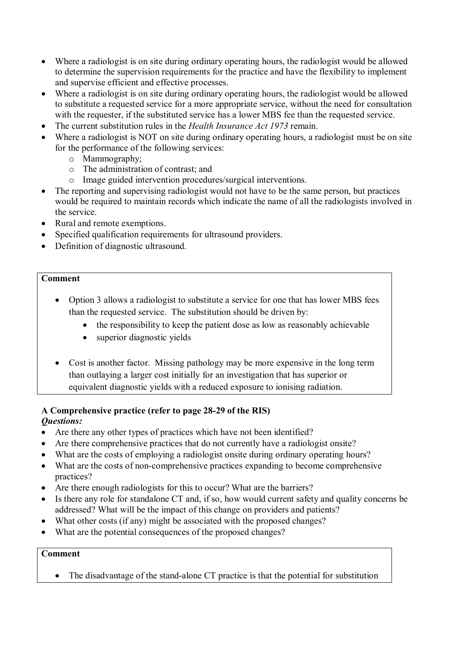- Where a radiologist is on site during ordinary operating hours, the radiologist would be allowed to determine the supervision requirements for the practice and have the flexibility to implement and supervise efficient and effective processes.
- Where a radiologist is on site during ordinary operating hours, the radiologist would be allowed to substitute a requested service for a more appropriate service, without the need for consultation with the requester, if the substituted service has a lower MBS fee than the requested service.
- The current substitution rules in the *Health Insurance Act 1973* remain.
- Where a radiologist is NOT on site during ordinary operating hours, a radiologist must be on site for the performance of the following services:
	- o Mammography;
	- o The administration of contrast; and
	- o Image guided intervention procedures/surgical interventions.
- The reporting and supervising radiologist would not have to be the same person, but practices would be required to maintain records which indicate the name of all the radiologists involved in the service.
- Rural and remote exemptions.
- Specified qualification requirements for ultrasound providers.
- Definition of diagnostic ultrasound.

#### **Comment**

- Option 3 allows a radiologist to substitute a service for one that has lower MBS fees than the requested service. The substitution should be driven by:
	- the responsibility to keep the patient dose as low as reasonably achievable
	- superior diagnostic yields
- Cost is another factor. Missing pathology may be more expensive in the long term than outlaying a larger cost initially for an investigation that has superior or equivalent diagnostic yields with a reduced exposure to ionising radiation.

# **A Comprehensive practice (refer to page 28-29 of the RIS)**  *Questions:*

- Are there any other types of practices which have not been identified?
- Are there comprehensive practices that do not currently have a radiologist onsite?
- What are the costs of employing a radiologist onsite during ordinary operating hours?
- What are the costs of non-comprehensive practices expanding to become comprehensive practices?
- Are there enough radiologists for this to occur? What are the barriers?
- Is there any role for standalone CT and, if so, how would current safety and quality concerns be addressed? What will be the impact of this change on providers and patients?
- What other costs (if any) might be associated with the proposed changes?
- What are the potential consequences of the proposed changes?

#### **Comment**

• The disadvantage of the stand-alone CT practice is that the potential for substitution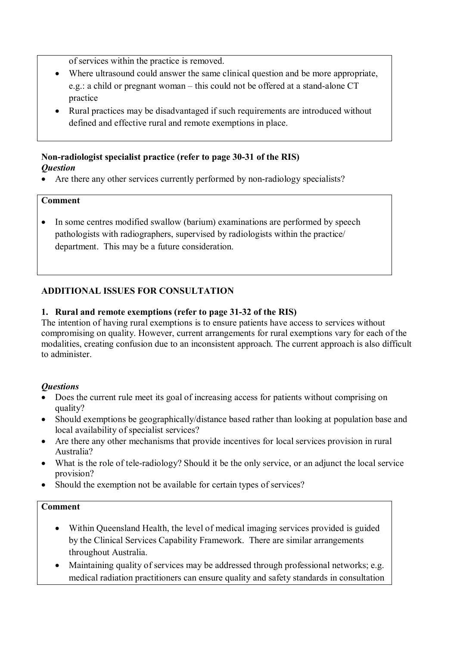of services within the practice is removed.

- Where ultrasound could answer the same clinical question and be more appropriate, e.g.: a child or pregnant woman – this could not be offered at a stand-alone CT practice
- Rural practices may be disadvantaged if such requirements are introduced without defined and effective rural and remote exemptions in place.

### **Non-radiologist specialist practice (refer to page 30-31 of the RIS)**  *Question*

Are there any other services currently performed by non-radiology specialists?

# **Comment**

• In some centres modified swallow (barium) examinations are performed by speech pathologists with radiographers, supervised by radiologists within the practice/ department. This may be a future consideration.

# **ADDITIONAL ISSUES FOR CONSULTATION**

# **1. Rural and remote exemptions (refer to page 31-32 of the RIS)**

The intention of having rural exemptions is to ensure patients have access to services without compromising on quality. However, current arrangements for rural exemptions vary for each of the modalities, creating confusion due to an inconsistent approach. The current approach is also difficult to administer.

# *Questions*

- Does the current rule meet its goal of increasing access for patients without comprising on quality?
- Should exemptions be geographically/distance based rather than looking at population base and local availability of specialist services?
- Are there any other mechanisms that provide incentives for local services provision in rural Australia?
- What is the role of tele-radiology? Should it be the only service, or an adjunct the local service provision?
- Should the exemption not be available for certain types of services?

# **Comment**

- Within Queensland Health, the level of medical imaging services provided is guided by the Clinical Services Capability Framework. There are similar arrangements throughout Australia.
- Maintaining quality of services may be addressed through professional networks; e.g. medical radiation practitioners can ensure quality and safety standards in consultation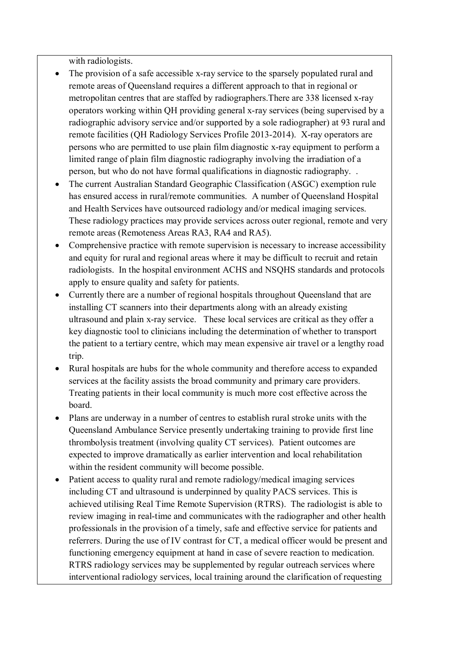with radiologists.

- The provision of a safe accessible x-ray service to the sparsely populated rural and remote areas of Queensland requires a different approach to that in regional or metropolitan centres that are staffed by radiographers.There are 338 licensed x-ray operators working within QH providing general x-ray services (being supervised by a radiographic advisory service and/or supported by a sole radiographer) at 93 rural and remote facilities (QH Radiology Services Profile 2013-2014). X-ray operators are persons who are permitted to use plain film diagnostic x-ray equipment to perform a limited range of plain film diagnostic radiography involving the irradiation of a person, but who do not have formal qualifications in diagnostic radiography. .
- The current Australian Standard Geographic Classification (ASGC) exemption rule has ensured access in rural/remote communities. A number of Queensland Hospital and Health Services have outsourced radiology and/or medical imaging services. These radiology practices may provide services across outer regional, remote and very remote areas (Remoteness Areas RA3, RA4 and RA5).
- Comprehensive practice with remote supervision is necessary to increase accessibility and equity for rural and regional areas where it may be difficult to recruit and retain radiologists. In the hospital environment ACHS and NSQHS standards and protocols apply to ensure quality and safety for patients.
- Currently there are a number of regional hospitals throughout Queensland that are installing CT scanners into their departments along with an already existing ultrasound and plain x-ray service. These local services are critical as they offer a key diagnostic tool to clinicians including the determination of whether to transport the patient to a tertiary centre, which may mean expensive air travel or a lengthy road trip.
- Rural hospitals are hubs for the whole community and therefore access to expanded services at the facility assists the broad community and primary care providers. Treating patients in their local community is much more cost effective across the board.
- Plans are underway in a number of centres to establish rural stroke units with the Queensland Ambulance Service presently undertaking training to provide first line thrombolysis treatment (involving quality CT services). Patient outcomes are expected to improve dramatically as earlier intervention and local rehabilitation within the resident community will become possible.
- Patient access to quality rural and remote radiology/medical imaging services including CT and ultrasound is underpinned by quality PACS services. This is achieved utilising Real Time Remote Supervision (RTRS). The radiologist is able to review imaging in real-time and communicates with the radiographer and other health professionals in the provision of a timely, safe and effective service for patients and referrers. During the use of IV contrast for CT, a medical officer would be present and functioning emergency equipment at hand in case of severe reaction to medication. RTRS radiology services may be supplemented by regular outreach services where interventional radiology services, local training around the clarification of requesting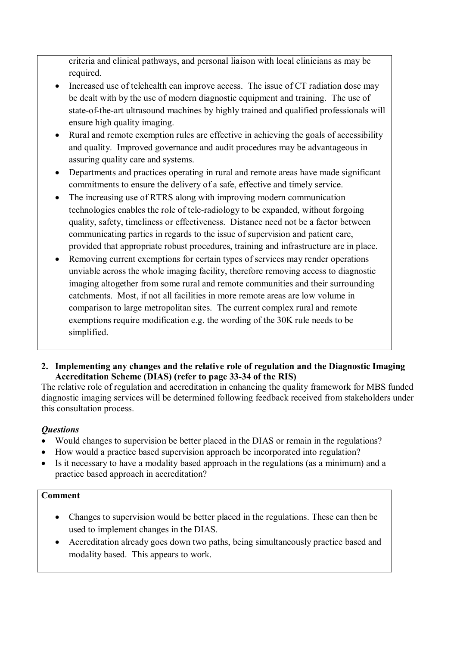criteria and clinical pathways, and personal liaison with local clinicians as may be required.

- Increased use of telehealth can improve access. The issue of CT radiation dose may be dealt with by the use of modern diagnostic equipment and training. The use of state-of-the-art ultrasound machines by highly trained and qualified professionals will ensure high quality imaging.
- Rural and remote exemption rules are effective in achieving the goals of accessibility and quality. Improved governance and audit procedures may be advantageous in assuring quality care and systems.
- Departments and practices operating in rural and remote areas have made significant commitments to ensure the delivery of a safe, effective and timely service.
- The increasing use of RTRS along with improving modern communication technologies enables the role of tele-radiology to be expanded, without forgoing quality, safety, timeliness or effectiveness. Distance need not be a factor between communicating parties in regards to the issue of supervision and patient care, provided that appropriate robust procedures, training and infrastructure are in place.
- Removing current exemptions for certain types of services may render operations unviable across the whole imaging facility, therefore removing access to diagnostic imaging altogether from some rural and remote communities and their surrounding catchments. Most, if not all facilities in more remote areas are low volume in comparison to large metropolitan sites. The current complex rural and remote exemptions require modification e.g. the wording of the 30K rule needs to be simplified.

# **2. Implementing any changes and the relative role of regulation and the Diagnostic Imaging Accreditation Scheme (DIAS) (refer to page 33-34 of the RIS)**

The relative role of regulation and accreditation in enhancing the quality framework for MBS funded diagnostic imaging services will be determined following feedback received from stakeholders under this consultation process.

# *Questions*

- Would changes to supervision be better placed in the DIAS or remain in the regulations?
- How would a practice based supervision approach be incorporated into regulation?
- Is it necessary to have a modality based approach in the regulations (as a minimum) and a practice based approach in accreditation?

# **Comment**

- Changes to supervision would be better placed in the regulations. These can then be used to implement changes in the DIAS.
- Accreditation already goes down two paths, being simultaneously practice based and modality based. This appears to work.